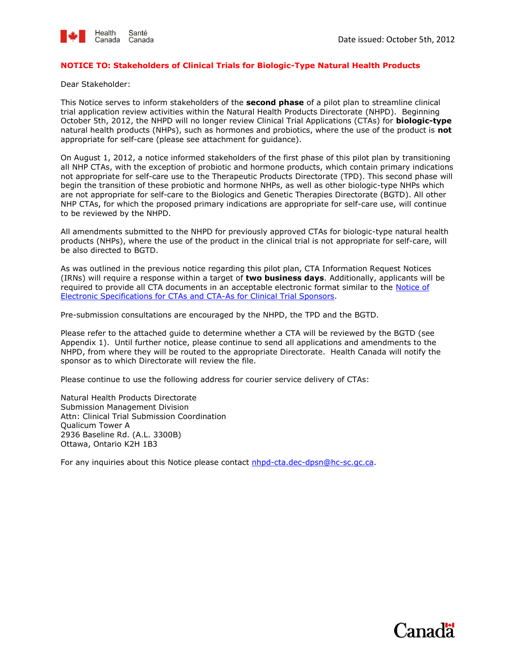

#### **NOTICE TO: Stakeholders of Clinical Trials for Biologic-Type Natural Health Products**

Dear Stakeholder:

This Notice serves to inform stakeholders of the **second phase** of a pilot plan to streamline clinical trial application review activities within the Natural Health Products Directorate (NHPD). Beginning October 5th, 2012, the NHPD will no longer review Clinical Trial Applications (CTAs) for **biologic-type**  natural health products (NHPs), such as hormones and probiotics, where the use of the product is **not**  appropriate for self-care (please see attachment for guidance).

On August 1, 2012, a notice informed stakeholders of the first phase of this pilot plan by transitioning all NHP CTAs, with the exception of probiotic and hormone products, which contain primary indications not appropriate for self-care use to the Therapeutic Products Directorate (TPD). This second phase will begin the transition of these probiotic and hormone NHPs, as well as other biologic-type NHPs which are not appropriate for self-care to the Biologics and Genetic Therapies Directorate (BGTD). All other NHP CTAs, for which the proposed primary indications are appropriate for self-care use, will continue to be reviewed by the NHPD.

All amendments submitted to the NHPD for previously approved CTAs for biologic-type natural health products (NHPs), where the use of the product in the clinical trial is not appropriate for self-care, will be also directed to BGTD.

As was outlined in the previous notice regarding this pilot plan, CTA Information Request Notices (IRNs) will require a response within a target of **two business days**. Additionally, applicants will be required to provide all CTA documents in an acceptable electronic format similar to the [Notice of](http://www.hc-sc.gc.ca/dhp-mps/prodpharma/applic-demande/guide-ld/ctd/notice_cta_avis_dec-eng.php)  [Electronic Specifications for CTAs and CTA-As for Clinical Trial Sponsors.](http://www.hc-sc.gc.ca/dhp-mps/prodpharma/applic-demande/guide-ld/ctd/notice_cta_avis_dec-eng.php)

Pre-submission consultations are encouraged by the NHPD, the TPD and the BGTD.

Please refer to the attached guide to determine whether a CTA will be reviewed by the BGTD (see Appendix 1). Until further notice, please continue to send all applications and amendments to the NHPD, from where they will be routed to the appropriate Directorate. Health Canada will notify the sponsor as to which Directorate will review the file.

Please continue to use the following address for courier service delivery of CTAs:

Natural Health Products Directorate Submission Management Division Attn: Clinical Trial Submission Coordination Qualicum Tower A 2936 Baseline Rd. (A.L. 3300B) Ottawa, Ontario K2H 1B3

For any inquiries about this Notice please contact **nhpd-cta.dec-dpsn@hc-sc.gc.ca**.